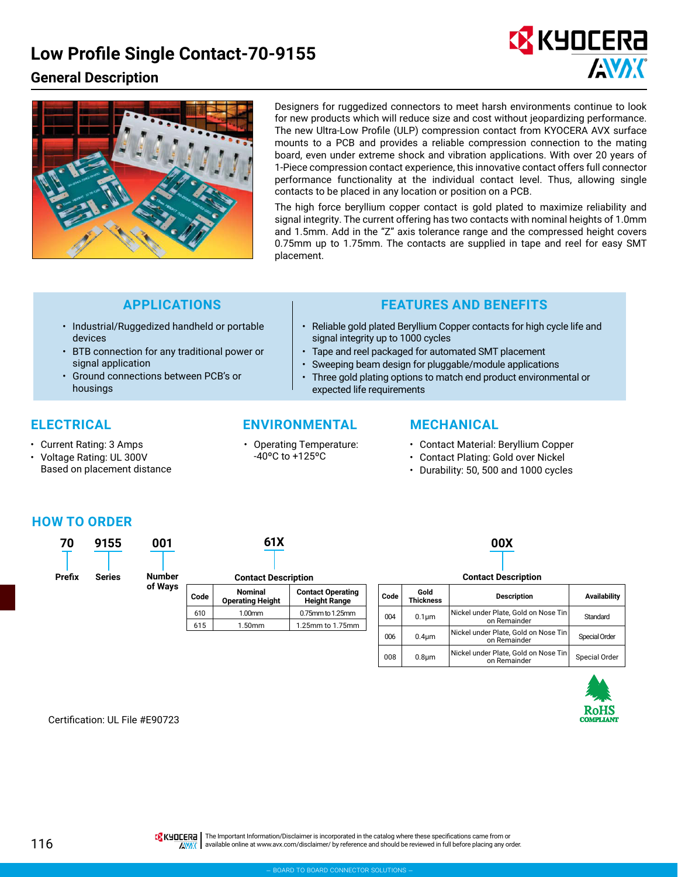# **Low Profile Single Contact-70-9155**

## **General Description**





Designers for ruggedized connectors to meet harsh environments continue to look for new products which will reduce size and cost without jeopardizing performance. The new Ultra-Low Profile (ULP) compression contact from KYOCERA AVX surface mounts to a PCB and provides a reliable compression connection to the mating board, even under extreme shock and vibration applications. With over 20 years of 1-Piece compression contact experience, this innovative contact offers full connector performance functionality at the individual contact level. Thus, allowing single contacts to be placed in any location or position on a PCB.

The high force beryllium copper contact is gold plated to maximize reliability and signal integrity. The current offering has two contacts with nominal heights of 1.0mm and 1.5mm. Add in the "Z" axis tolerance range and the compressed height covers 0.75mm up to 1.75mm. The contacts are supplied in tape and reel for easy SMT placement.

- Industrial/Ruggedized handheld or portable devices
- BTB connection for any traditional power or signal application
- Ground connections between PCB's or housings

- Current Rating: 3 Amps
- Voltage Rating: UL 300V Based on placement distance

### **ELECTRICAL ENVIRONMENTAL MECHANICAL**

• Operating Temperature: -40ºC to +125ºC

### **APPLICATIONS FEATURES AND BENEFITS**

- Reliable gold plated Beryllium Copper contacts for high cycle life and signal integrity up to 1000 cycles
- Tape and reel packaged for automated SMT placement
- Sweeping beam design for pluggable/module applications
- Three gold plating options to match end product environmental or expected life requirements

- Contact Material: Beryllium Copper
- Contact Plating: Gold over Nickel
- Durability: 50, 500 and 1000 cycles

### **HOW TO ORDER**

| 70     | 9155          | 001     | 61X                        |                                    |                                                 |      |                     | 00X         |  |
|--------|---------------|---------|----------------------------|------------------------------------|-------------------------------------------------|------|---------------------|-------------|--|
|        |               |         |                            |                                    |                                                 |      |                     |             |  |
| Prefix | <b>Series</b> | Number  | <b>Contact Description</b> |                                    |                                                 |      | <b>Contact Dese</b> |             |  |
|        |               | of Ways | Code                       | <b>Nominal</b><br>Operating Hojaht | <b>Contact Operating</b><br><b>Hojeht Dongo</b> | Code | Gold<br>Thicknoce   | <b>Desc</b> |  |

| 7 U<br>Prefix | 7 I J J<br>Series | uu i<br><b>Number</b> | .                          |                                    |                                                 |  |      | <b>UUA</b>               |                               |  |
|---------------|-------------------|-----------------------|----------------------------|------------------------------------|-------------------------------------------------|--|------|--------------------------|-------------------------------|--|
|               |                   |                       | <b>Contact Description</b> |                                    |                                                 |  |      |                          | <b>Contact Description</b>    |  |
|               |                   | of Ways               | Code                       | Nominal<br><b>Operating Height</b> | <b>Contact Operating</b><br><b>Height Range</b> |  | Code | Gold<br><b>Thickness</b> | <b>Description</b>            |  |
|               |                   |                       | 610                        | 1.00mm                             | 0.75mm to 1.25mm                                |  | 004  | 0.1 <sub>um</sub>        | Nickel under Plate, Gold on N |  |
|               |                   |                       | 615                        | .50mm                              | 1.25mm to 1.75mm                                |  |      |                          | on Remainder                  |  |

| <b>Contact Description</b> |                          |                                                      |               |  |  |  |  |
|----------------------------|--------------------------|------------------------------------------------------|---------------|--|--|--|--|
| Code                       | Gold<br><b>Thickness</b> | <b>Description</b>                                   | Availability  |  |  |  |  |
| 004                        | $0.1 \mu m$              | Nickel under Plate, Gold on Nose Tin<br>on Remainder | Standard      |  |  |  |  |
| 006                        | $0.4 \mu m$              | Nickel under Plate, Gold on Nose Tin<br>on Remainder | Special Order |  |  |  |  |
| 008                        | 0.8 <sub>µ</sub>         | Nickel under Plate, Gold on Nose Tin<br>on Remainder | Special Order |  |  |  |  |



Certification: UL File #E90723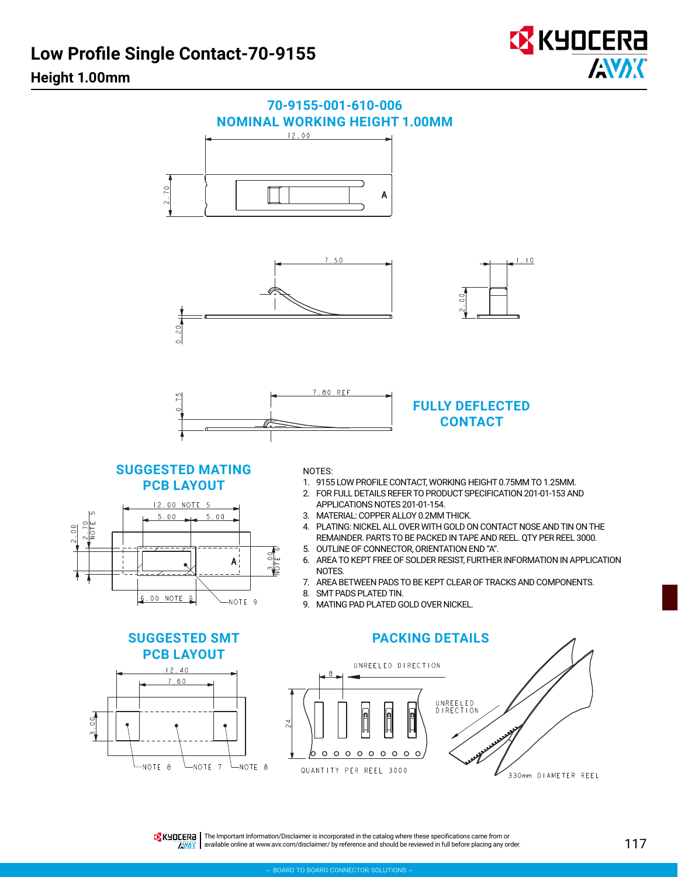# **Low Profile Single Contact-70-9155**



# **Height 1.00mm**



THE IMPORE THE Important Information/Disclaimer is incorporated in the catalog where these specifications came from or AVAX available online at [www.avx.com/disclaimer/](http://www.avx.com/disclaimer/) by reference and should be reviewed in full before placing any order.